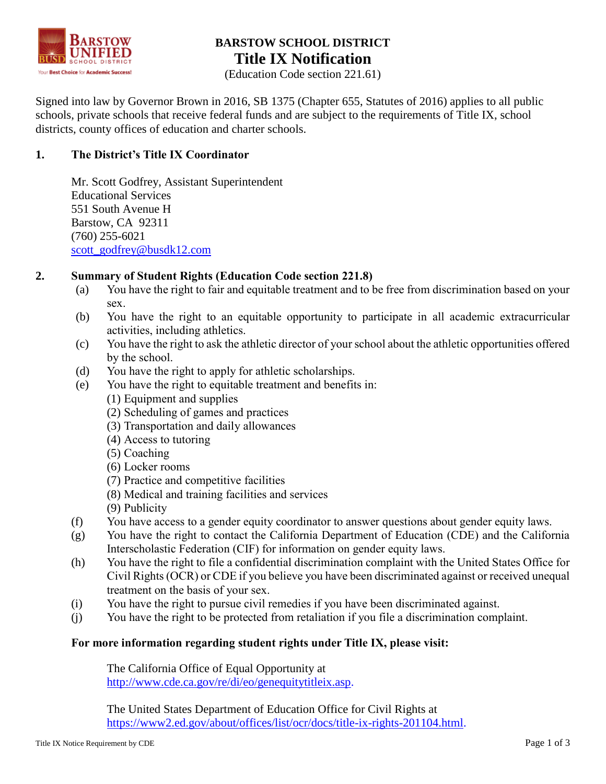

# **BARSTOW SCHOOL DISTRICT Title IX Notification**

(Education Code section 221.61)

Signed into law by Governor Brown in 2016, SB 1375 (Chapter 655, Statutes of 2016) applies to all public schools, private schools that receive federal funds and are subject to the requirements of Title IX, school districts, county offices of education and charter schools.

# **1. The District's Title IX Coordinator**

Mr. Scott Godfrey, Assistant Superintendent Educational Services 551 South Avenue H Barstow, CA 92311 (760) 255-6021 [scott\\_godfrey@busdk12.com](mailto:scott_godfrey@busdk12.com)

# **2. Summary of Student Rights (Education Code section 221.8)**

- (a) You have the right to fair and equitable treatment and to be free from discrimination based on your sex.
- (b) You have the right to an equitable opportunity to participate in all academic extracurricular activities, including athletics.
- (c) You have the right to ask the athletic director of your school about the athletic opportunities offered by the school.
- (d) You have the right to apply for athletic scholarships.
- (e) You have the right to equitable treatment and benefits in:
	- (1) Equipment and supplies
	- (2) Scheduling of games and practices
	- (3) Transportation and daily allowances
	- (4) Access to tutoring
	- (5) Coaching
	- (6) Locker rooms
	- (7) Practice and competitive facilities
	- (8) Medical and training facilities and services
	- (9) Publicity
- (f) You have access to a gender equity coordinator to answer questions about gender equity laws.
- (g) You have the right to contact the California Department of Education (CDE) and the California Interscholastic Federation (CIF) for information on gender equity laws.
- (h) You have the right to file a confidential discrimination complaint with the United States Office for Civil Rights (OCR) or CDE if you believe you have been discriminated against or received unequal treatment on the basis of your sex.
- (i) You have the right to pursue civil remedies if you have been discriminated against.
- (j) You have the right to be protected from retaliation if you file a discrimination complaint.

# **For more information regarding student rights under Title IX, please visit:**

The California Office of Equal Opportunity at [http://www.cde.ca.gov/re/di/eo/genequitytitleix.asp.](http://www.cde.ca.gov/re/di/eo/genequitytitleix.asp)

The United States Department of Education Office for Civil Rights at [https://www2.ed.gov/about/offices/list/ocr/docs/title-ix-rights-201104.html.](https://www2.ed.gov/about/offices/list/ocr/docs/title-ix-rights-201104.html)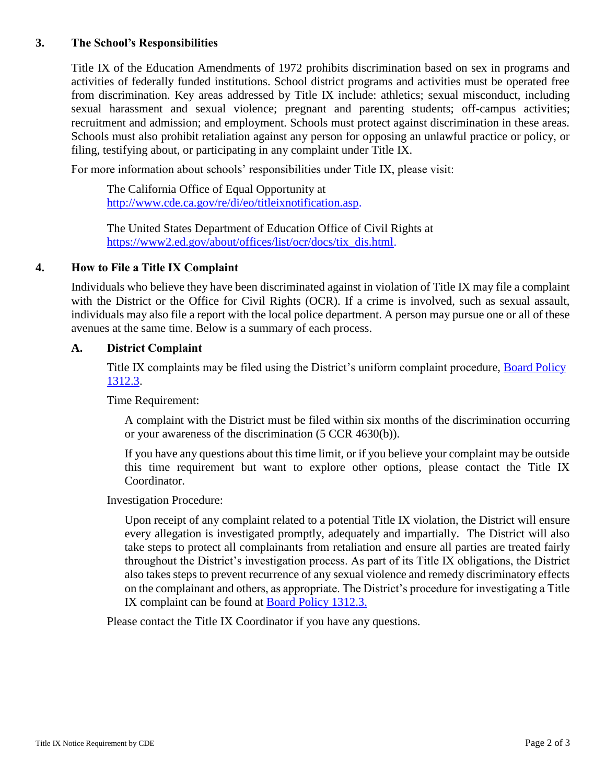### **3. The School's Responsibilities**

Title IX of the Education Amendments of 1972 prohibits discrimination based on sex in programs and activities of federally funded institutions. School district programs and activities must be operated free from discrimination. Key areas addressed by Title IX include: athletics; sexual misconduct, including sexual harassment and sexual violence; pregnant and parenting students; off-campus activities; recruitment and admission; and employment. Schools must protect against discrimination in these areas. Schools must also prohibit retaliation against any person for opposing an unlawful practice or policy, or filing, testifying about, or participating in any complaint under Title IX.

For more information about schools' responsibilities under Title IX, please visit:

The California Office of Equal Opportunity at [http://www.cde.ca.gov/re/di/eo/titleixnotification.asp.](http://www.cde.ca.gov/re/di/eo/titleixnotification.asp)

The United States Department of Education Office of Civil Rights at [https://www2.ed.gov/about/offices/list/ocr/docs/tix\\_dis.html.](https://www2.ed.gov/about/offices/list/ocr/docs/tix_dis.html)

#### **4. How to File a Title IX Complaint**

Individuals who believe they have been discriminated against in violation of Title IX may file a complaint with the District or the Office for Civil Rights (OCR). If a crime is involved, such as sexual assault, individuals may also file a report with the local police department. A person may pursue one or all of these avenues at the same time. Below is a summary of each process.

#### **A. District Complaint**

Title IX complaints may be filed using the District's uniform complaint procedure, [Board Policy](http://www.etiwanda.k12.ca.us/district/board/boardpolicy/1000/EX%201312.3%20%5EUCP.pdf)  [1312.3.](http://www.etiwanda.k12.ca.us/district/board/boardpolicy/1000/EX%201312.3%20%5EUCP.pdf)

Time Requirement:

A complaint with the District must be filed within six months of the discrimination occurring or your awareness of the discrimination (5 CCR 4630(b)).

If you have any questions about this time limit, or if you believe your complaint may be outside this time requirement but want to explore other options, please contact the Title IX Coordinator.

Investigation Procedure:

Upon receipt of any complaint related to a potential Title IX violation, the District will ensure every allegation is investigated promptly, adequately and impartially. The District will also take steps to protect all complainants from retaliation and ensure all parties are treated fairly throughout the District's investigation process. As part of its Title IX obligations, the District also takes steps to prevent recurrence of any sexual violence and remedy discriminatory effects on the complainant and others, as appropriate. The District's procedure for investigating a Title IX complaint can be found at [Board Policy 1312.3.](http://www.etiwanda.k12.ca.us/district/board/boardpolicy/1000/BP%201312.3%20%5EUniform%20Complaint%20Procedure.pdf)

Please contact the Title IX Coordinator if you have any questions.